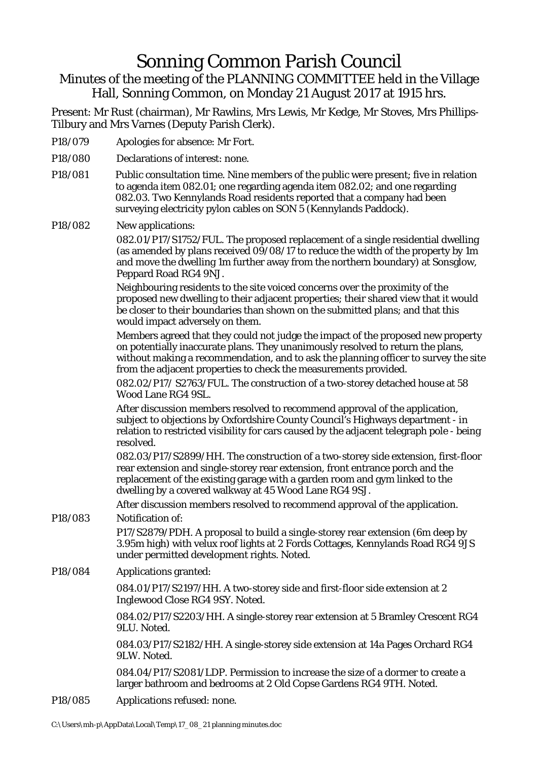## Sonning Common Parish Council

Minutes of the meeting of the PLANNING COMMITTEE held in the Village Hall, Sonning Common, on Monday 21 August 2017 at 1915 hrs.

Present: Mr Rust (chairman), Mr Rawlins, Mrs Lewis, Mr Kedge, Mr Stoves, Mrs Phillips-Tilbury and Mrs Varnes (Deputy Parish Clerk).

- P18/079 Apologies for absence: Mr Fort.
- P18/080 Declarations of interest: none.
- P18/081 Public consultation time. Nine members of the public were present; five in relation to agenda item 082.01; one regarding agenda item 082.02; and one regarding 082.03. Two Kennylands Road residents reported that a company had been surveying electricity pylon cables on SON 5 (Kennylands Paddock).

P18/082 New applications:

082.01/P17/S1752/FUL. The proposed replacement of a single residential dwelling (as amended by plans received 09/08/17 to reduce the width of the property by 1m and move the dwelling 1m further away from the northern boundary) at Sonsglow, Peppard Road RG4 9NJ.

Neighbouring residents to the site voiced concerns over the proximity of the proposed new dwelling to their adjacent properties; their shared view that it would be closer to their boundaries than shown on the submitted plans; and that this would impact adversely on them.

Members agreed that they could not judge the impact of the proposed new property on potentially inaccurate plans. They unanimously resolved to return the plans, without making a recommendation, and to ask the planning officer to survey the site from the adjacent properties to check the measurements provided.

082.02/P17/ S2763/FUL. The construction of a two-storey detached house at 58 Wood Lane RG4 9SL.

After discussion members resolved to recommend approval of the application, subject to objections by Oxfordshire County Council's Highways department - in relation to restricted visibility for cars caused by the adjacent telegraph pole - being resolved.

082.03/P17/S2899/HH. The construction of a two-storey side extension, first-floor rear extension and single-storey rear extension, front entrance porch and the replacement of the existing garage with a garden room and gym linked to the dwelling by a covered walkway at 45 Wood Lane RG4 9SJ.

After discussion members resolved to recommend approval of the application. P18/083 Notification of:

> P17/S2879/PDH. A proposal to build a single-storey rear extension (6m deep by 3.95m high) with velux roof lights at 2 Fords Cottages, Kennylands Road RG4 9JS under permitted development rights. Noted.

P18/084 Applications granted:

084.01/P17/S2197/HH. A two-storey side and first-floor side extension at 2 Inglewood Close RG4 9SY. Noted.

084.02/P17/S2203/HH. A single-storey rear extension at 5 Bramley Crescent RG4 9LU. Noted.

084.03/P17/S2182/HH. A single-storey side extension at 14a Pages Orchard RG4 9LW. Noted.

084.04/P17/S2081/LDP. Permission to increase the size of a dormer to create a larger bathroom and bedrooms at 2 Old Copse Gardens RG4 9TH. Noted.

P18/085 Applications refused: none.